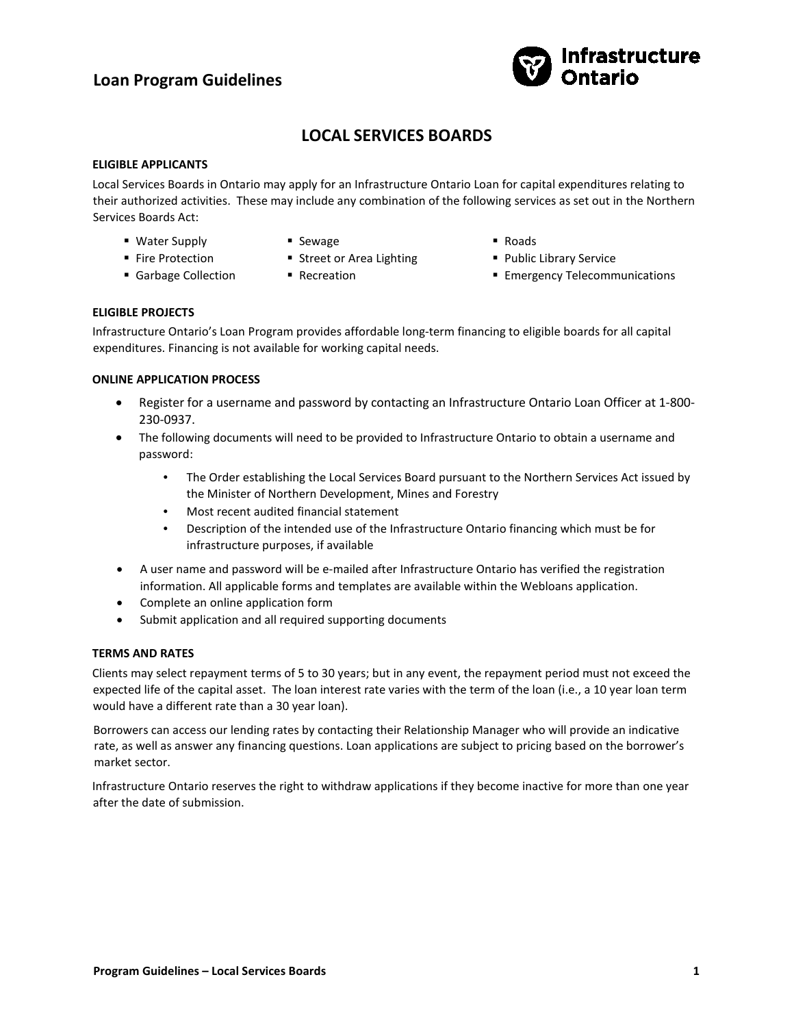# **Loan Program Guidelines**



# **LOCAL SERVICES BOARDS**

### **ELIGIBLE APPLICANTS**

Local Services Boards in Ontario may apply for an Infrastructure Ontario Loan for capital expenditures relating to their authorized activities. These may include any combination of the following services as set out in the Northern Services Boards Act:

- Water Supply **Fire Protection**
- **Sewage**
- **Street or Area Lighting**
- Garbage Collection
- **Recreation**
- Roads
- **Public Library Service**
- **Emergency Telecommunications**

# **ELIGIBLE PROJECTS**

Infrastructure Ontario's Loan Program provides affordable long-term financing to eligible boards for all capital expenditures. Financing is not available for working capital needs.

# **ONLINE APPLICATION PROCESS**

- Register for a username and password by contacting an Infrastructure Ontario Loan Officer at 1-800- 230-0937.
- The following documents will need to be provided to Infrastructure Ontario to obtain a username and password:
	- The Order establishing the Local Services Board pursuant to the Northern Services Act issued by the Minister of Northern Development, Mines and Forestry
	- Most recent audited financial statement
	- Description of the intended use of the Infrastructure Ontario financing which must be for infrastructure purposes, if available
- A user name and password will be e-mailed after Infrastructure Ontario has verified the registration information. All applicable forms and templates are available within the Webloans application.
- Complete an online application form
- Submit application and all required supporting documents

# **TERMS AND RATES**

Clients may select repayment terms of 5 to 30 years; but in any event, the repayment period must not exceed the expected life of the capital asset. The loan interest rate varies with the term of the loan (i.e., a 10 year loan term would have a different rate than a 30 year loan).

Borrowers can access our lending rates by contacting their Relationship Manager who will provide an indicative rate, as well as answer any financing questions. Loan applications are subject to pricing based on the borrower's market sector.

Infrastructure Ontario reserves the right to withdraw applications if they become inactive for more than one year after the date of submission.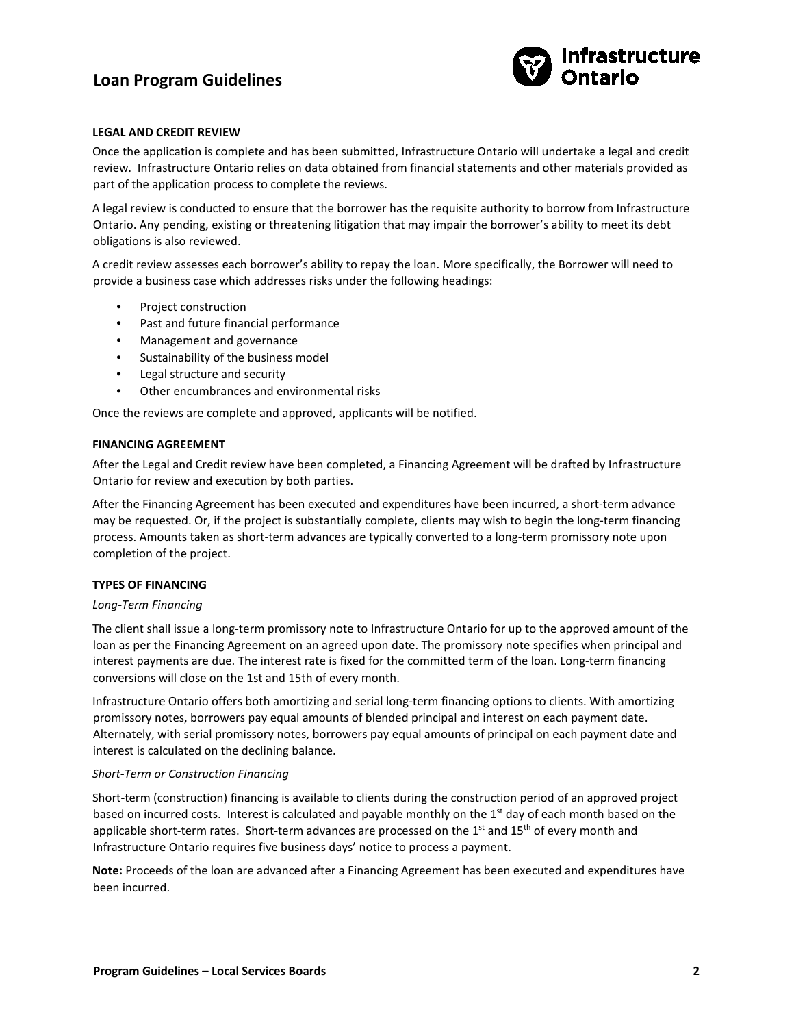# **Loan Program Guidelines**



### **LEGAL AND CREDIT REVIEW**

Once the application is complete and has been submitted, Infrastructure Ontario will undertake a legal and credit review. Infrastructure Ontario relies on data obtained from financial statements and other materials provided as part of the application process to complete the reviews.

A legal review is conducted to ensure that the borrower has the requisite authority to borrow from Infrastructure Ontario. Any pending, existing or threatening litigation that may impair the borrower's ability to meet its debt obligations is also reviewed.

A credit review assesses each borrower's ability to repay the loan. More specifically, the Borrower will need to provide a business case which addresses risks under the following headings:

- Project construction
- Past and future financial performance
- Management and governance
- Sustainability of the business model
- Legal structure and security
- Other encumbrances and environmental risks

Once the reviews are complete and approved, applicants will be notified.

#### **FINANCING AGREEMENT**

After the Legal and Credit review have been completed, a Financing Agreement will be drafted by Infrastructure Ontario for review and execution by both parties.

After the Financing Agreement has been executed and expenditures have been incurred, a short-term advance may be requested. Or, if the project is substantially complete, clients may wish to begin the long-term financing process. Amounts taken as short-term advances are typically converted to a long-term promissory note upon completion of the project.

#### **TYPES OF FINANCING**

#### *Long-Term Financing*

The client shall issue a long-term promissory note to Infrastructure Ontario for up to the approved amount of the loan as per the Financing Agreement on an agreed upon date. The promissory note specifies when principal and interest payments are due. The interest rate is fixed for the committed term of the loan. Long-term financing conversions will close on the 1st and 15th of every month.

Infrastructure Ontario offers both amortizing and serial long-term financing options to clients. With amortizing promissory notes, borrowers pay equal amounts of blended principal and interest on each payment date. Alternately, with serial promissory notes, borrowers pay equal amounts of principal on each payment date and interest is calculated on the declining balance.

#### *Short-Term or Construction Financing*

Short-term (construction) financing is available to clients during the construction period of an approved project based on incurred costs. Interest is calculated and payable monthly on the  $1<sup>st</sup>$  day of each month based on the applicable short-term rates. Short-term advances are processed on the  $1<sup>st</sup>$  and  $15<sup>th</sup>$  of every month and Infrastructure Ontario requires five business days' notice to process a payment.

**Note:** Proceeds of the loan are advanced after a Financing Agreement has been executed and expenditures have been incurred.